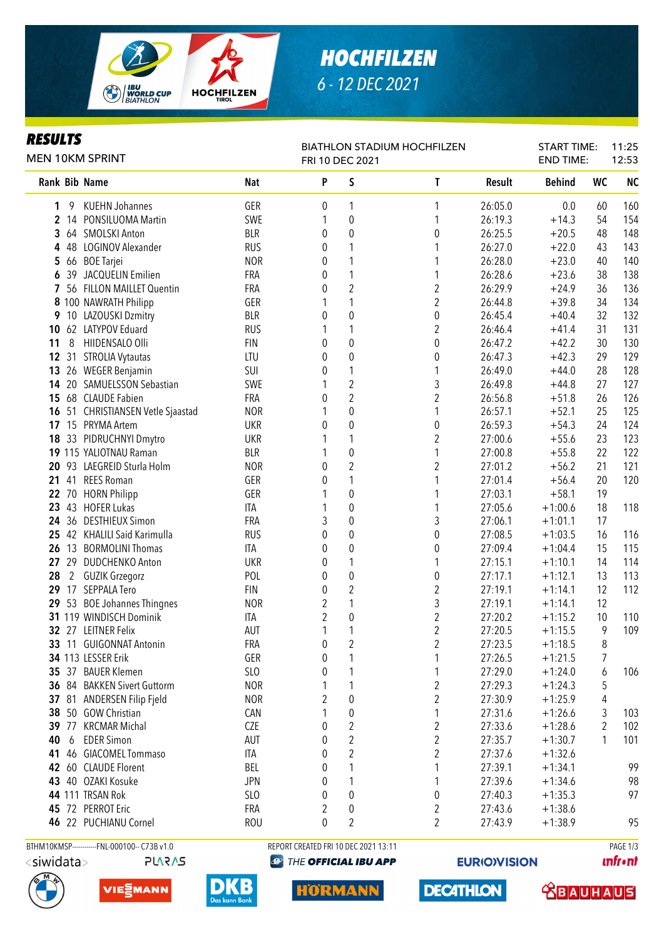

# *HOCHFILZEN 6 - 12 DEC 2021*

### *RESULTS*

| rljvli J<br>MEN 10KM SPRINT                 |                 | <b>BIATHLON STADIUM HOCHFILZEN</b><br>FRI 10 DEC 2021 |                         |                  |         |               |           | 11:25<br>12:53 |  |
|---------------------------------------------|-----------------|-------------------------------------------------------|-------------------------|------------------|---------|---------------|-----------|----------------|--|
| Rank Bib Name                               | <b>Nat</b>      | P                                                     | S                       | T                | Result  | <b>Behind</b> | <b>WC</b> | <b>NC</b>      |  |
| <b>KUEHN Johannes</b><br>9<br>1             | GER             | 0                                                     | 1                       | 1                | 26:05.0 | 0.0           | 60        | 160            |  |
| 14 PONSILUOMA Martin<br>$\mathbf{2}$        | SWE             | 1                                                     | $\boldsymbol{0}$        | 1                | 26:19.3 | $+14.3$       | 54        | 154            |  |
| 64 SMOLSKI Anton<br>3                       | <b>BLR</b>      | 0                                                     | $\pmb{0}$               | $\boldsymbol{0}$ | 26:25.5 | $+20.5$       | 48        | 148            |  |
| 48 LOGINOV Alexander<br>4                   | <b>RUS</b>      | 0                                                     | 1                       |                  | 26:27.0 | $+22.0$       | 43        | 143            |  |
| 5 66 BOE Tarjei                             | <b>NOR</b>      | 0                                                     | 1                       | 1                | 26:28.0 | $+23.0$       | 40        | 140            |  |
| 39 JACQUELIN Emilien<br>6                   | FRA             | 0                                                     | $\mathbf 1$             | 1                | 26:28.6 | $+23.6$       | 38        | 138            |  |
| 56 FILLON MAILLET Quentin<br>7              | <b>FRA</b>      | 0                                                     | $\sqrt{2}$              | $\overline{2}$   | 26:29.9 | $+24.9$       | 36        | 136            |  |
| 8 100 NAWRATH Philipp                       | GER             |                                                       | $\mathbf{1}$            | $\overline{2}$   | 26:44.8 | $+39.8$       | 34        | 134            |  |
| 9 10 LAZOUSKI Dzmitry                       | <b>BLR</b>      | 0                                                     | $\pmb{0}$               | $\pmb{0}$        | 26:45.4 | $+40.4$       | 32        | 132            |  |
| 62 LATYPOV Eduard<br>10                     | <b>RUS</b>      | 1                                                     | 1                       | $\overline{2}$   | 26:46.4 | $+41.4$       | 31        | 131            |  |
| 8<br>HIIDENSALO Olli<br>11                  | <b>FIN</b>      | 0                                                     | $\pmb{0}$               | $\pmb{0}$        | 26:47.2 | $+42.2$       | 30        | 130            |  |
| 12<br>31<br><b>STROLIA Vytautas</b>         | LTU             | 0                                                     | $\mathbf 0$             | $\pmb{0}$        | 26:47.3 | $+42.3$       | 29        | 129            |  |
| 26 WEGER Benjamin<br>13                     | SUI             | 0                                                     | 1                       | $\mathbf{1}$     | 26:49.0 | $+44.0$       | 28        | 128            |  |
| 14 20 SAMUELSSON Sebastian                  | SWE             |                                                       | $\overline{c}$          | 3                | 26:49.8 | $+44.8$       | 27        | 127            |  |
| 15 68 CLAUDE Fabien                         | <b>FRA</b>      | 0                                                     | $\overline{2}$          | $\overline{2}$   | 26:56.8 | $+51.8$       | 26        | 126            |  |
| 16 51 CHRISTIANSEN Vetle Sjaastad           | <b>NOR</b>      | 1                                                     | 0                       | $\mathbf{1}$     | 26:57.1 | $+52.1$       | 25        | 125            |  |
| 17 15 PRYMA Artem                           | <b>UKR</b>      | 0                                                     | 0                       | $\pmb{0}$        | 26:59.3 | $+54.3$       | 24        | 124            |  |
| 18 33 PIDRUCHNYI Dmytro                     | <b>UKR</b>      |                                                       | 1                       | $\overline{2}$   | 27:00.6 | $+55.6$       | 23        | 123            |  |
| 19 115 YALIOTNAU Raman                      | <b>BLR</b>      |                                                       | $\pmb{0}$               | 1                | 27:00.8 | $+55.8$       | 22        | 122            |  |
| 20 93 LAEGREID Sturla Holm                  | <b>NOR</b>      | 0                                                     | $\overline{c}$          | 2                | 27:01.2 | $+56.2$       | 21        | 121            |  |
| 41 REES Roman<br>21                         | GER             | 0                                                     | 1                       | 1                | 27:01.4 | $+56.4$       | 20        | 120            |  |
| 22 70 HORN Philipp                          | GER             | 1                                                     | 0                       | 1                | 27:03.1 | $+58.1$       | 19        |                |  |
| 23 43 HOFER Lukas                           | <b>ITA</b>      | 1                                                     | $\boldsymbol{0}$        | 1                | 27:05.6 | $+1:00.6$     | 18        | 118            |  |
| 24 36 DESTHIEUX Simon                       | FRA             | 3                                                     | $\boldsymbol{0}$        | 3                | 27:06.1 | $+1:01.1$     | 17        |                |  |
| 25 42 KHALILI Said Karimulla                | <b>RUS</b>      | 0                                                     | $\boldsymbol{0}$        | $\boldsymbol{0}$ | 27:08.5 | $+1:03.5$     | 16        | 116            |  |
| 26 13 BORMOLINI Thomas                      | ITA             | 0                                                     | $\boldsymbol{0}$        | 0                | 27:09.4 | $+1:04.4$     | 15        | 115            |  |
| 27 29 DUDCHENKO Anton                       | <b>UKR</b>      | 0                                                     | 1                       | 1                | 27:15.1 | $+1:10.1$     | 14        | 114            |  |
| 28<br>$\mathbf{2}$<br><b>GUZIK Grzegorz</b> | POL             | 0                                                     | $\pmb{0}$               | $\pmb{0}$        | 27:17.1 | $+1:12.1$     | 13        | 113            |  |
| 29 17 SEPPALA Tero                          | <b>FIN</b>      | 0                                                     | $\sqrt{2}$              | $\overline{2}$   | 27:19.1 | $+1:14.1$     | 12        | 112            |  |
| 29 53 BOE Johannes Thingnes                 | <b>NOR</b>      | $\overline{2}$                                        | $\mathbf{1}$            | 3                | 27:19.1 | $+1:14.1$     | 12        |                |  |
| 31 119 WINDISCH Dominik                     | ITA             | $\overline{c}$                                        | $\pmb{0}$               | $\overline{2}$   | 27:20.2 | $+1:15.2$     | 10        | 110            |  |
| 32 27 LEITNER Felix                         | AUT             | 1                                                     | $\mathbf{1}$            | $\overline{2}$   | 27:20.5 | $+1:15.5$     | 9         | 109            |  |
| 11 GUIGONNAT Antonin<br>33                  | FRA             | 0                                                     | $\overline{2}$          | $\overline{2}$   | 27:23.5 | $+1:18.5$     | 8         |                |  |
| 34 113 LESSER Erik                          | GER             | 0                                                     |                         | 1                | 27:26.5 | $+1:21.5$     | 7         |                |  |
| 35 37 BAUER Klemen                          | SL <sub>0</sub> | 0                                                     |                         | 1                | 27:29.0 | $+1:24.0$     | 6         | 106            |  |
| 36 84 BAKKEN Sivert Guttorm                 | <b>NOR</b>      |                                                       |                         | $\overline{2}$   | 27:29.3 | $+1:24.3$     | 5         |                |  |
| 37 81 ANDERSEN Filip Fjeld                  | <b>NOR</b>      | 2                                                     | 0                       | 2                | 27:30.9 | $+1:25.9$     | 4         |                |  |
| 38 50 GOW Christian                         | CAN             | 1                                                     | 0                       | 1                | 27:31.6 | $+1:26.6$     | 3         | 103            |  |
| 39 77 KRCMAR Michal                         | <b>CZE</b>      | 0                                                     | 2                       | 2                | 27:33.6 | $+1:28.6$     | 2         | 102            |  |
| <b>EDER Simon</b><br>40<br>6                | AUT             | 0                                                     | 2                       | $\overline{2}$   | 27:35.7 | $+1:30.7$     | 1         | 101            |  |
| 46 GIACOMEL Tommaso<br>41                   | ITA             | 0                                                     | $\overline{\mathbf{c}}$ | 2                | 27:37.6 | $+1:32.6$     |           |                |  |
| 42 60 CLAUDE Florent                        | BEL             | 0                                                     | 1                       |                  | 27:39.1 | $+1:34.1$     |           | 99             |  |
| 43 40 OZAKI Kosuke                          | <b>JPN</b>      | 0                                                     | 1                       | 1                | 27:39.6 | $+1:34.6$     |           | 98             |  |
| 44 111 TRSAN Rok                            | SL <sub>0</sub> | 0                                                     | 0                       | 0                | 27:40.3 | $+1:35.3$     |           | 97             |  |
| 45 72 PERROT Eric                           | FRA             | 2                                                     | 0                       | 2                | 27:43.6 | $+1:38.6$     |           |                |  |
| 46 22 PUCHIANU Cornel                       | <b>ROU</b>      | 0                                                     | $\overline{2}$          | $\overline{2}$   | 27:43.9 | $+1:38.9$     |           | 95             |  |
|                                             |                 |                                                       |                         |                  |         |               |           |                |  |

**PLARAS** 







BTHM10KMSP-----------FNL-000100-- C73B v1.0 REPORT CREATED FRI 10 DEC 2021 13:11 REPORT CREATED FRI 10 DEC 2021 13:11 **@** THE OFFICIAL IBU APP

**HORMANN** 

**EURIO)VISION** 

**DECATHLON** 

**unfront** 

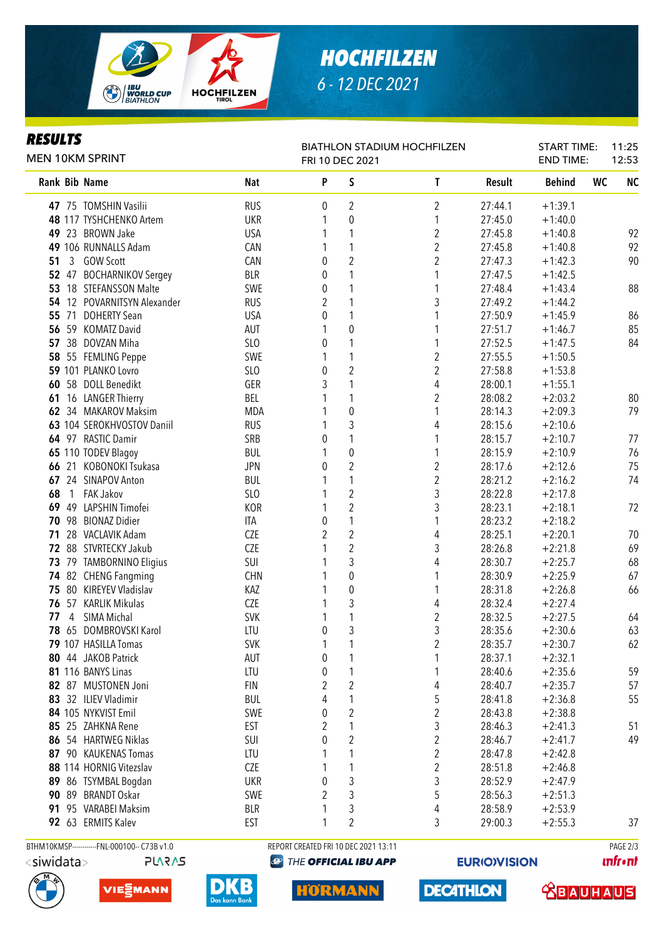

# *HOCHFILZEN 6 - 12 DEC 2021*

#### **DECIIITS**

| Rank Bib Name<br><b>Nat</b><br>P<br>S<br>$\mathsf{T}$<br>Result<br><b>Behind</b><br>WC<br>$\overline{2}$<br><b>RUS</b><br>0<br>2<br>$+1:39.1$<br>47 75 TOMSHIN Vasilii<br>27:44.1<br>$\boldsymbol{0}$<br>48 117 TYSHCHENKO Artem<br><b>UKR</b><br>1<br>27:45.0<br>$+1:40.0$<br>$\boldsymbol{2}$<br>23 BROWN Jake<br><b>USA</b><br>1<br>27:45.8<br>$+1:40.8$<br>49<br>$\overline{2}$<br>49 106 RUNNALLS Adam<br>CAN<br>1<br>27:45.8<br>$+1:40.8$<br>$\overline{2}$<br>$\boldsymbol{2}$<br>51<br><b>GOW Scott</b><br>CAN<br>0<br>27:47.3<br>$+1:42.3$<br>3<br><b>BLR</b><br>1<br>52 47 BOCHARNIKOV Sergey<br>1<br>27:47.5<br>$+1:42.5$<br>0<br>1<br>53<br>18 STEFANSSON Malte<br>SWE<br>1<br>27:48.4<br>$+1:43.4$<br>0<br>3<br>1<br>12 POVARNITSYN Alexander<br><b>RUS</b><br>2<br>27:49.2<br>54<br>$+1:44.2$<br>1<br>71 DOHERTY Sean<br>1<br>27:50.9<br>55<br><b>USA</b><br>0<br>$+1:45.9$<br>59 KOMATZ David<br>AUT<br>0<br>1<br>27:51.7<br>56<br>$+1:46.7$<br>1<br>1<br>57 38 DOVZAN Miha<br>SLO<br>1<br>27:52.5<br>0<br>$+1:47.5$<br>$\overline{c}$<br>1<br>58 55 FEMLING Peppe<br>SWE<br>27:55.5<br>$+1:50.5$<br>1<br>$\overline{2}$<br>$\overline{c}$<br>59 101 PLANKO Lovro<br>SLO<br>27:58.8<br>0<br>$+1:53.8$<br>4<br>58 DOLL Benedikt<br>GER<br>3<br>1<br>28:00.1<br>$+1:55.1$<br>60<br>$\overline{2}$<br>16 LANGER Thierry<br>BEL<br>1<br>28:08.2<br>$+2:03.2$<br>61<br>$\pmb{0}$<br>62 34 MAKAROV Maksim<br><b>MDA</b><br>1<br>28:14.3<br>$+2:09.3$<br>3<br>63 104 SEROKHVOSTOV Daniil<br><b>RUS</b><br>28:15.6<br>$+2:10.6$<br>4<br>1<br>64 97 RASTIC Damir<br>SRB<br>28:15.7<br>$+2:10.7$<br>0<br>1<br>$\pmb{0}$<br>65 110 TODEV Blagoy<br><b>BUL</b><br>28:15.9<br>$+2:10.9$<br>1<br>1<br>$\overline{2}$<br>21 KOBONOKI Tsukasa<br>$\overline{\mathbf{c}}$<br><b>JPN</b><br>0<br>$+2:12.6$<br>66<br>28:17.6<br>$\overline{c}$<br>1<br>24 SINAPOV Anton<br><b>BUL</b><br>28:21.2<br>$+2:16.2$<br>67<br>$\overline{\mathbf{c}}$<br>3<br>1 FAK Jakov<br>SLO<br>28:22.8<br>$+2:17.8$<br>68<br>$\overline{c}$<br><b>KOR</b><br>3<br>49 LAPSHIN Timofei<br>28:23.1<br>$+2:18.1$<br>72<br>69<br>1<br>98 BIONAZ Didier<br>0<br>1<br>28:23.2<br>70<br>ITA<br>$+2:18.2$<br>$\overline{2}$<br>2<br>28 VACLAVIK Adam<br>CZE<br>4<br>28:25.1<br>$+2:20.1$<br>70<br>71<br>$\overline{c}$<br>CZE<br>3<br>69<br>72 88 STVRTECKY Jakub<br>28:26.8<br>$+2:21.8$<br>3<br>4<br>68<br>79 TAMBORNINO Eligius<br>SUI<br>28:30.7<br>$+2:25.7$<br>73<br>CHN<br>0<br>74 82 CHENG Fangming<br>28:30.9<br>$+2:25.9$<br>1<br>80 KIREYEV Vladislav<br>$\pmb{0}$<br>KAZ<br>1<br>28:31.8<br>66<br>75<br>$+2:26.8$<br>3<br>57 KARLIK Mikulas<br>CZE<br>4<br>28:32.4<br>$+2:27.4$<br>76<br>1<br>$\overline{c}$<br>1<br>SIMA Michal<br><b>SVK</b><br>28:32.5<br>77<br>4<br>$+2:27.5$<br>64<br>1<br>3<br>3<br>78 65 DOMBROVSKI Karol<br>LTU<br>0<br>28:35.6<br>63<br>$+2:30.6$<br>62<br><b>SVK</b><br>79 107 HASILLA Tomas<br>2<br>28:35.7<br>$+2:30.7$<br>80 44 JAKOB Patrick<br>28:37.1<br>AUT<br>0<br>$+2:32.1$<br>59<br>LTU<br>81 116 BANYS Linas<br>0<br>28:40.6<br>$+2:35.6$<br>1<br>2<br>57<br>82 87 MUSTONEN Joni<br><b>FIN</b><br>2<br>4<br>28:40.7<br>$+2:35.7$<br>83 32 ILIEV Vladimir<br>5<br>55<br><b>BUL</b><br>4<br>1<br>28:41.8<br>$+2:36.8$<br>2<br>84 105 NYKVIST Emil<br>SWE<br>2<br>0<br>28:43.8<br>$+2:38.8$<br>2<br>3<br>85 25 ZAHKNA Rene<br><b>EST</b><br>1<br>28:46.3<br>$+2:41.3$<br>51<br>2<br>$\overline{\mathbf{c}}$<br>54 HARTWEG Niklas<br>49<br>SUI<br>0<br>28:46.7<br>$+2:41.7$<br>86<br>2<br>1<br>87<br>90 KAUKENAS Tomas<br>LTU<br>28:47.8<br>$+2:42.8$<br>2<br>88 114 HORNIG Vitezslav<br>CZE<br>28:51.8<br>1<br>$+2:46.8$<br>3<br>3<br>28:52.9<br>86 TSYMBAL Bogdan<br>UKR<br>0<br>$+2:47.9$<br>89<br>2<br>3<br>5<br>89 BRANDT Oskar<br>SWE<br>28:56.3<br>$+2:51.3$<br>90<br>95 VARABEI Maksim<br>3<br>4<br><b>BLR</b><br>28:58.9<br>$+2:53.9$<br>91.<br>$\overline{2}$<br>92 63 ERMITS Kalev<br><b>EST</b><br>1<br>3<br>29:00.3<br>$+2:55.3$<br>BTHM10KMSP------------FNL-000100-- C73B v1.0<br>REPORT CREATED FRI 10 DEC 2021 13:11<br>PAGE 2/3 | rejulij<br><b>MEN 10KM SPRINT</b> |  | <b>START TIME:</b><br><b>END TIME:</b> | 11:25<br>12:53 |  |           |
|-----------------------------------------------------------------------------------------------------------------------------------------------------------------------------------------------------------------------------------------------------------------------------------------------------------------------------------------------------------------------------------------------------------------------------------------------------------------------------------------------------------------------------------------------------------------------------------------------------------------------------------------------------------------------------------------------------------------------------------------------------------------------------------------------------------------------------------------------------------------------------------------------------------------------------------------------------------------------------------------------------------------------------------------------------------------------------------------------------------------------------------------------------------------------------------------------------------------------------------------------------------------------------------------------------------------------------------------------------------------------------------------------------------------------------------------------------------------------------------------------------------------------------------------------------------------------------------------------------------------------------------------------------------------------------------------------------------------------------------------------------------------------------------------------------------------------------------------------------------------------------------------------------------------------------------------------------------------------------------------------------------------------------------------------------------------------------------------------------------------------------------------------------------------------------------------------------------------------------------------------------------------------------------------------------------------------------------------------------------------------------------------------------------------------------------------------------------------------------------------------------------------------------------------------------------------------------------------------------------------------------------------------------------------------------------------------------------------------------------------------------------------------------------------------------------------------------------------------------------------------------------------------------------------------------------------------------------------------------------------------------------------------------------------------------------------------------------------------------------------------------------------------------------------------------------------------------------------------------------------------------------------------------------------------------------------------------------------------------------------------------------------------------------------------------------------------------------------------------------------------------------------------------------------------------------------------------------------------------------------------------------------------------------------------------------------------------------------------------------------------------------------------------------------------------------------------------------------------------------------------------------------------------------------------------------------------------------------------------------------------------------------------------------------------------------------|-----------------------------------|--|----------------------------------------|----------------|--|-----------|
|                                                                                                                                                                                                                                                                                                                                                                                                                                                                                                                                                                                                                                                                                                                                                                                                                                                                                                                                                                                                                                                                                                                                                                                                                                                                                                                                                                                                                                                                                                                                                                                                                                                                                                                                                                                                                                                                                                                                                                                                                                                                                                                                                                                                                                                                                                                                                                                                                                                                                                                                                                                                                                                                                                                                                                                                                                                                                                                                                                                                                                                                                                                                                                                                                                                                                                                                                                                                                                                                                                                                                                                                                                                                                                                                                                                                                                                                                                                                                                                                                                                                 |                                   |  |                                        |                |  | <b>NC</b> |
|                                                                                                                                                                                                                                                                                                                                                                                                                                                                                                                                                                                                                                                                                                                                                                                                                                                                                                                                                                                                                                                                                                                                                                                                                                                                                                                                                                                                                                                                                                                                                                                                                                                                                                                                                                                                                                                                                                                                                                                                                                                                                                                                                                                                                                                                                                                                                                                                                                                                                                                                                                                                                                                                                                                                                                                                                                                                                                                                                                                                                                                                                                                                                                                                                                                                                                                                                                                                                                                                                                                                                                                                                                                                                                                                                                                                                                                                                                                                                                                                                                                                 |                                   |  |                                        |                |  |           |
|                                                                                                                                                                                                                                                                                                                                                                                                                                                                                                                                                                                                                                                                                                                                                                                                                                                                                                                                                                                                                                                                                                                                                                                                                                                                                                                                                                                                                                                                                                                                                                                                                                                                                                                                                                                                                                                                                                                                                                                                                                                                                                                                                                                                                                                                                                                                                                                                                                                                                                                                                                                                                                                                                                                                                                                                                                                                                                                                                                                                                                                                                                                                                                                                                                                                                                                                                                                                                                                                                                                                                                                                                                                                                                                                                                                                                                                                                                                                                                                                                                                                 |                                   |  |                                        |                |  |           |
|                                                                                                                                                                                                                                                                                                                                                                                                                                                                                                                                                                                                                                                                                                                                                                                                                                                                                                                                                                                                                                                                                                                                                                                                                                                                                                                                                                                                                                                                                                                                                                                                                                                                                                                                                                                                                                                                                                                                                                                                                                                                                                                                                                                                                                                                                                                                                                                                                                                                                                                                                                                                                                                                                                                                                                                                                                                                                                                                                                                                                                                                                                                                                                                                                                                                                                                                                                                                                                                                                                                                                                                                                                                                                                                                                                                                                                                                                                                                                                                                                                                                 |                                   |  |                                        |                |  | 92        |
|                                                                                                                                                                                                                                                                                                                                                                                                                                                                                                                                                                                                                                                                                                                                                                                                                                                                                                                                                                                                                                                                                                                                                                                                                                                                                                                                                                                                                                                                                                                                                                                                                                                                                                                                                                                                                                                                                                                                                                                                                                                                                                                                                                                                                                                                                                                                                                                                                                                                                                                                                                                                                                                                                                                                                                                                                                                                                                                                                                                                                                                                                                                                                                                                                                                                                                                                                                                                                                                                                                                                                                                                                                                                                                                                                                                                                                                                                                                                                                                                                                                                 |                                   |  |                                        |                |  | 92        |
|                                                                                                                                                                                                                                                                                                                                                                                                                                                                                                                                                                                                                                                                                                                                                                                                                                                                                                                                                                                                                                                                                                                                                                                                                                                                                                                                                                                                                                                                                                                                                                                                                                                                                                                                                                                                                                                                                                                                                                                                                                                                                                                                                                                                                                                                                                                                                                                                                                                                                                                                                                                                                                                                                                                                                                                                                                                                                                                                                                                                                                                                                                                                                                                                                                                                                                                                                                                                                                                                                                                                                                                                                                                                                                                                                                                                                                                                                                                                                                                                                                                                 |                                   |  |                                        |                |  | 90        |
|                                                                                                                                                                                                                                                                                                                                                                                                                                                                                                                                                                                                                                                                                                                                                                                                                                                                                                                                                                                                                                                                                                                                                                                                                                                                                                                                                                                                                                                                                                                                                                                                                                                                                                                                                                                                                                                                                                                                                                                                                                                                                                                                                                                                                                                                                                                                                                                                                                                                                                                                                                                                                                                                                                                                                                                                                                                                                                                                                                                                                                                                                                                                                                                                                                                                                                                                                                                                                                                                                                                                                                                                                                                                                                                                                                                                                                                                                                                                                                                                                                                                 |                                   |  |                                        |                |  |           |
|                                                                                                                                                                                                                                                                                                                                                                                                                                                                                                                                                                                                                                                                                                                                                                                                                                                                                                                                                                                                                                                                                                                                                                                                                                                                                                                                                                                                                                                                                                                                                                                                                                                                                                                                                                                                                                                                                                                                                                                                                                                                                                                                                                                                                                                                                                                                                                                                                                                                                                                                                                                                                                                                                                                                                                                                                                                                                                                                                                                                                                                                                                                                                                                                                                                                                                                                                                                                                                                                                                                                                                                                                                                                                                                                                                                                                                                                                                                                                                                                                                                                 |                                   |  |                                        |                |  | 88        |
|                                                                                                                                                                                                                                                                                                                                                                                                                                                                                                                                                                                                                                                                                                                                                                                                                                                                                                                                                                                                                                                                                                                                                                                                                                                                                                                                                                                                                                                                                                                                                                                                                                                                                                                                                                                                                                                                                                                                                                                                                                                                                                                                                                                                                                                                                                                                                                                                                                                                                                                                                                                                                                                                                                                                                                                                                                                                                                                                                                                                                                                                                                                                                                                                                                                                                                                                                                                                                                                                                                                                                                                                                                                                                                                                                                                                                                                                                                                                                                                                                                                                 |                                   |  |                                        |                |  |           |
|                                                                                                                                                                                                                                                                                                                                                                                                                                                                                                                                                                                                                                                                                                                                                                                                                                                                                                                                                                                                                                                                                                                                                                                                                                                                                                                                                                                                                                                                                                                                                                                                                                                                                                                                                                                                                                                                                                                                                                                                                                                                                                                                                                                                                                                                                                                                                                                                                                                                                                                                                                                                                                                                                                                                                                                                                                                                                                                                                                                                                                                                                                                                                                                                                                                                                                                                                                                                                                                                                                                                                                                                                                                                                                                                                                                                                                                                                                                                                                                                                                                                 |                                   |  |                                        |                |  | 86        |
|                                                                                                                                                                                                                                                                                                                                                                                                                                                                                                                                                                                                                                                                                                                                                                                                                                                                                                                                                                                                                                                                                                                                                                                                                                                                                                                                                                                                                                                                                                                                                                                                                                                                                                                                                                                                                                                                                                                                                                                                                                                                                                                                                                                                                                                                                                                                                                                                                                                                                                                                                                                                                                                                                                                                                                                                                                                                                                                                                                                                                                                                                                                                                                                                                                                                                                                                                                                                                                                                                                                                                                                                                                                                                                                                                                                                                                                                                                                                                                                                                                                                 |                                   |  |                                        |                |  | 85        |
|                                                                                                                                                                                                                                                                                                                                                                                                                                                                                                                                                                                                                                                                                                                                                                                                                                                                                                                                                                                                                                                                                                                                                                                                                                                                                                                                                                                                                                                                                                                                                                                                                                                                                                                                                                                                                                                                                                                                                                                                                                                                                                                                                                                                                                                                                                                                                                                                                                                                                                                                                                                                                                                                                                                                                                                                                                                                                                                                                                                                                                                                                                                                                                                                                                                                                                                                                                                                                                                                                                                                                                                                                                                                                                                                                                                                                                                                                                                                                                                                                                                                 |                                   |  |                                        |                |  | 84        |
|                                                                                                                                                                                                                                                                                                                                                                                                                                                                                                                                                                                                                                                                                                                                                                                                                                                                                                                                                                                                                                                                                                                                                                                                                                                                                                                                                                                                                                                                                                                                                                                                                                                                                                                                                                                                                                                                                                                                                                                                                                                                                                                                                                                                                                                                                                                                                                                                                                                                                                                                                                                                                                                                                                                                                                                                                                                                                                                                                                                                                                                                                                                                                                                                                                                                                                                                                                                                                                                                                                                                                                                                                                                                                                                                                                                                                                                                                                                                                                                                                                                                 |                                   |  |                                        |                |  |           |
|                                                                                                                                                                                                                                                                                                                                                                                                                                                                                                                                                                                                                                                                                                                                                                                                                                                                                                                                                                                                                                                                                                                                                                                                                                                                                                                                                                                                                                                                                                                                                                                                                                                                                                                                                                                                                                                                                                                                                                                                                                                                                                                                                                                                                                                                                                                                                                                                                                                                                                                                                                                                                                                                                                                                                                                                                                                                                                                                                                                                                                                                                                                                                                                                                                                                                                                                                                                                                                                                                                                                                                                                                                                                                                                                                                                                                                                                                                                                                                                                                                                                 |                                   |  |                                        |                |  |           |
|                                                                                                                                                                                                                                                                                                                                                                                                                                                                                                                                                                                                                                                                                                                                                                                                                                                                                                                                                                                                                                                                                                                                                                                                                                                                                                                                                                                                                                                                                                                                                                                                                                                                                                                                                                                                                                                                                                                                                                                                                                                                                                                                                                                                                                                                                                                                                                                                                                                                                                                                                                                                                                                                                                                                                                                                                                                                                                                                                                                                                                                                                                                                                                                                                                                                                                                                                                                                                                                                                                                                                                                                                                                                                                                                                                                                                                                                                                                                                                                                                                                                 |                                   |  |                                        |                |  |           |
|                                                                                                                                                                                                                                                                                                                                                                                                                                                                                                                                                                                                                                                                                                                                                                                                                                                                                                                                                                                                                                                                                                                                                                                                                                                                                                                                                                                                                                                                                                                                                                                                                                                                                                                                                                                                                                                                                                                                                                                                                                                                                                                                                                                                                                                                                                                                                                                                                                                                                                                                                                                                                                                                                                                                                                                                                                                                                                                                                                                                                                                                                                                                                                                                                                                                                                                                                                                                                                                                                                                                                                                                                                                                                                                                                                                                                                                                                                                                                                                                                                                                 |                                   |  |                                        |                |  | 80        |
|                                                                                                                                                                                                                                                                                                                                                                                                                                                                                                                                                                                                                                                                                                                                                                                                                                                                                                                                                                                                                                                                                                                                                                                                                                                                                                                                                                                                                                                                                                                                                                                                                                                                                                                                                                                                                                                                                                                                                                                                                                                                                                                                                                                                                                                                                                                                                                                                                                                                                                                                                                                                                                                                                                                                                                                                                                                                                                                                                                                                                                                                                                                                                                                                                                                                                                                                                                                                                                                                                                                                                                                                                                                                                                                                                                                                                                                                                                                                                                                                                                                                 |                                   |  |                                        |                |  | 79        |
|                                                                                                                                                                                                                                                                                                                                                                                                                                                                                                                                                                                                                                                                                                                                                                                                                                                                                                                                                                                                                                                                                                                                                                                                                                                                                                                                                                                                                                                                                                                                                                                                                                                                                                                                                                                                                                                                                                                                                                                                                                                                                                                                                                                                                                                                                                                                                                                                                                                                                                                                                                                                                                                                                                                                                                                                                                                                                                                                                                                                                                                                                                                                                                                                                                                                                                                                                                                                                                                                                                                                                                                                                                                                                                                                                                                                                                                                                                                                                                                                                                                                 |                                   |  |                                        |                |  |           |
|                                                                                                                                                                                                                                                                                                                                                                                                                                                                                                                                                                                                                                                                                                                                                                                                                                                                                                                                                                                                                                                                                                                                                                                                                                                                                                                                                                                                                                                                                                                                                                                                                                                                                                                                                                                                                                                                                                                                                                                                                                                                                                                                                                                                                                                                                                                                                                                                                                                                                                                                                                                                                                                                                                                                                                                                                                                                                                                                                                                                                                                                                                                                                                                                                                                                                                                                                                                                                                                                                                                                                                                                                                                                                                                                                                                                                                                                                                                                                                                                                                                                 |                                   |  |                                        |                |  | 77        |
|                                                                                                                                                                                                                                                                                                                                                                                                                                                                                                                                                                                                                                                                                                                                                                                                                                                                                                                                                                                                                                                                                                                                                                                                                                                                                                                                                                                                                                                                                                                                                                                                                                                                                                                                                                                                                                                                                                                                                                                                                                                                                                                                                                                                                                                                                                                                                                                                                                                                                                                                                                                                                                                                                                                                                                                                                                                                                                                                                                                                                                                                                                                                                                                                                                                                                                                                                                                                                                                                                                                                                                                                                                                                                                                                                                                                                                                                                                                                                                                                                                                                 |                                   |  |                                        |                |  | 76        |
|                                                                                                                                                                                                                                                                                                                                                                                                                                                                                                                                                                                                                                                                                                                                                                                                                                                                                                                                                                                                                                                                                                                                                                                                                                                                                                                                                                                                                                                                                                                                                                                                                                                                                                                                                                                                                                                                                                                                                                                                                                                                                                                                                                                                                                                                                                                                                                                                                                                                                                                                                                                                                                                                                                                                                                                                                                                                                                                                                                                                                                                                                                                                                                                                                                                                                                                                                                                                                                                                                                                                                                                                                                                                                                                                                                                                                                                                                                                                                                                                                                                                 |                                   |  |                                        |                |  | 75        |
|                                                                                                                                                                                                                                                                                                                                                                                                                                                                                                                                                                                                                                                                                                                                                                                                                                                                                                                                                                                                                                                                                                                                                                                                                                                                                                                                                                                                                                                                                                                                                                                                                                                                                                                                                                                                                                                                                                                                                                                                                                                                                                                                                                                                                                                                                                                                                                                                                                                                                                                                                                                                                                                                                                                                                                                                                                                                                                                                                                                                                                                                                                                                                                                                                                                                                                                                                                                                                                                                                                                                                                                                                                                                                                                                                                                                                                                                                                                                                                                                                                                                 |                                   |  |                                        |                |  | 74        |
|                                                                                                                                                                                                                                                                                                                                                                                                                                                                                                                                                                                                                                                                                                                                                                                                                                                                                                                                                                                                                                                                                                                                                                                                                                                                                                                                                                                                                                                                                                                                                                                                                                                                                                                                                                                                                                                                                                                                                                                                                                                                                                                                                                                                                                                                                                                                                                                                                                                                                                                                                                                                                                                                                                                                                                                                                                                                                                                                                                                                                                                                                                                                                                                                                                                                                                                                                                                                                                                                                                                                                                                                                                                                                                                                                                                                                                                                                                                                                                                                                                                                 |                                   |  |                                        |                |  |           |
|                                                                                                                                                                                                                                                                                                                                                                                                                                                                                                                                                                                                                                                                                                                                                                                                                                                                                                                                                                                                                                                                                                                                                                                                                                                                                                                                                                                                                                                                                                                                                                                                                                                                                                                                                                                                                                                                                                                                                                                                                                                                                                                                                                                                                                                                                                                                                                                                                                                                                                                                                                                                                                                                                                                                                                                                                                                                                                                                                                                                                                                                                                                                                                                                                                                                                                                                                                                                                                                                                                                                                                                                                                                                                                                                                                                                                                                                                                                                                                                                                                                                 |                                   |  |                                        |                |  |           |
|                                                                                                                                                                                                                                                                                                                                                                                                                                                                                                                                                                                                                                                                                                                                                                                                                                                                                                                                                                                                                                                                                                                                                                                                                                                                                                                                                                                                                                                                                                                                                                                                                                                                                                                                                                                                                                                                                                                                                                                                                                                                                                                                                                                                                                                                                                                                                                                                                                                                                                                                                                                                                                                                                                                                                                                                                                                                                                                                                                                                                                                                                                                                                                                                                                                                                                                                                                                                                                                                                                                                                                                                                                                                                                                                                                                                                                                                                                                                                                                                                                                                 |                                   |  |                                        |                |  |           |
|                                                                                                                                                                                                                                                                                                                                                                                                                                                                                                                                                                                                                                                                                                                                                                                                                                                                                                                                                                                                                                                                                                                                                                                                                                                                                                                                                                                                                                                                                                                                                                                                                                                                                                                                                                                                                                                                                                                                                                                                                                                                                                                                                                                                                                                                                                                                                                                                                                                                                                                                                                                                                                                                                                                                                                                                                                                                                                                                                                                                                                                                                                                                                                                                                                                                                                                                                                                                                                                                                                                                                                                                                                                                                                                                                                                                                                                                                                                                                                                                                                                                 |                                   |  |                                        |                |  |           |
|                                                                                                                                                                                                                                                                                                                                                                                                                                                                                                                                                                                                                                                                                                                                                                                                                                                                                                                                                                                                                                                                                                                                                                                                                                                                                                                                                                                                                                                                                                                                                                                                                                                                                                                                                                                                                                                                                                                                                                                                                                                                                                                                                                                                                                                                                                                                                                                                                                                                                                                                                                                                                                                                                                                                                                                                                                                                                                                                                                                                                                                                                                                                                                                                                                                                                                                                                                                                                                                                                                                                                                                                                                                                                                                                                                                                                                                                                                                                                                                                                                                                 |                                   |  |                                        |                |  |           |
|                                                                                                                                                                                                                                                                                                                                                                                                                                                                                                                                                                                                                                                                                                                                                                                                                                                                                                                                                                                                                                                                                                                                                                                                                                                                                                                                                                                                                                                                                                                                                                                                                                                                                                                                                                                                                                                                                                                                                                                                                                                                                                                                                                                                                                                                                                                                                                                                                                                                                                                                                                                                                                                                                                                                                                                                                                                                                                                                                                                                                                                                                                                                                                                                                                                                                                                                                                                                                                                                                                                                                                                                                                                                                                                                                                                                                                                                                                                                                                                                                                                                 |                                   |  |                                        |                |  |           |
|                                                                                                                                                                                                                                                                                                                                                                                                                                                                                                                                                                                                                                                                                                                                                                                                                                                                                                                                                                                                                                                                                                                                                                                                                                                                                                                                                                                                                                                                                                                                                                                                                                                                                                                                                                                                                                                                                                                                                                                                                                                                                                                                                                                                                                                                                                                                                                                                                                                                                                                                                                                                                                                                                                                                                                                                                                                                                                                                                                                                                                                                                                                                                                                                                                                                                                                                                                                                                                                                                                                                                                                                                                                                                                                                                                                                                                                                                                                                                                                                                                                                 |                                   |  |                                        |                |  | 67        |
|                                                                                                                                                                                                                                                                                                                                                                                                                                                                                                                                                                                                                                                                                                                                                                                                                                                                                                                                                                                                                                                                                                                                                                                                                                                                                                                                                                                                                                                                                                                                                                                                                                                                                                                                                                                                                                                                                                                                                                                                                                                                                                                                                                                                                                                                                                                                                                                                                                                                                                                                                                                                                                                                                                                                                                                                                                                                                                                                                                                                                                                                                                                                                                                                                                                                                                                                                                                                                                                                                                                                                                                                                                                                                                                                                                                                                                                                                                                                                                                                                                                                 |                                   |  |                                        |                |  |           |
|                                                                                                                                                                                                                                                                                                                                                                                                                                                                                                                                                                                                                                                                                                                                                                                                                                                                                                                                                                                                                                                                                                                                                                                                                                                                                                                                                                                                                                                                                                                                                                                                                                                                                                                                                                                                                                                                                                                                                                                                                                                                                                                                                                                                                                                                                                                                                                                                                                                                                                                                                                                                                                                                                                                                                                                                                                                                                                                                                                                                                                                                                                                                                                                                                                                                                                                                                                                                                                                                                                                                                                                                                                                                                                                                                                                                                                                                                                                                                                                                                                                                 |                                   |  |                                        |                |  |           |
|                                                                                                                                                                                                                                                                                                                                                                                                                                                                                                                                                                                                                                                                                                                                                                                                                                                                                                                                                                                                                                                                                                                                                                                                                                                                                                                                                                                                                                                                                                                                                                                                                                                                                                                                                                                                                                                                                                                                                                                                                                                                                                                                                                                                                                                                                                                                                                                                                                                                                                                                                                                                                                                                                                                                                                                                                                                                                                                                                                                                                                                                                                                                                                                                                                                                                                                                                                                                                                                                                                                                                                                                                                                                                                                                                                                                                                                                                                                                                                                                                                                                 |                                   |  |                                        |                |  |           |
|                                                                                                                                                                                                                                                                                                                                                                                                                                                                                                                                                                                                                                                                                                                                                                                                                                                                                                                                                                                                                                                                                                                                                                                                                                                                                                                                                                                                                                                                                                                                                                                                                                                                                                                                                                                                                                                                                                                                                                                                                                                                                                                                                                                                                                                                                                                                                                                                                                                                                                                                                                                                                                                                                                                                                                                                                                                                                                                                                                                                                                                                                                                                                                                                                                                                                                                                                                                                                                                                                                                                                                                                                                                                                                                                                                                                                                                                                                                                                                                                                                                                 |                                   |  |                                        |                |  |           |
|                                                                                                                                                                                                                                                                                                                                                                                                                                                                                                                                                                                                                                                                                                                                                                                                                                                                                                                                                                                                                                                                                                                                                                                                                                                                                                                                                                                                                                                                                                                                                                                                                                                                                                                                                                                                                                                                                                                                                                                                                                                                                                                                                                                                                                                                                                                                                                                                                                                                                                                                                                                                                                                                                                                                                                                                                                                                                                                                                                                                                                                                                                                                                                                                                                                                                                                                                                                                                                                                                                                                                                                                                                                                                                                                                                                                                                                                                                                                                                                                                                                                 |                                   |  |                                        |                |  |           |
|                                                                                                                                                                                                                                                                                                                                                                                                                                                                                                                                                                                                                                                                                                                                                                                                                                                                                                                                                                                                                                                                                                                                                                                                                                                                                                                                                                                                                                                                                                                                                                                                                                                                                                                                                                                                                                                                                                                                                                                                                                                                                                                                                                                                                                                                                                                                                                                                                                                                                                                                                                                                                                                                                                                                                                                                                                                                                                                                                                                                                                                                                                                                                                                                                                                                                                                                                                                                                                                                                                                                                                                                                                                                                                                                                                                                                                                                                                                                                                                                                                                                 |                                   |  |                                        |                |  |           |
|                                                                                                                                                                                                                                                                                                                                                                                                                                                                                                                                                                                                                                                                                                                                                                                                                                                                                                                                                                                                                                                                                                                                                                                                                                                                                                                                                                                                                                                                                                                                                                                                                                                                                                                                                                                                                                                                                                                                                                                                                                                                                                                                                                                                                                                                                                                                                                                                                                                                                                                                                                                                                                                                                                                                                                                                                                                                                                                                                                                                                                                                                                                                                                                                                                                                                                                                                                                                                                                                                                                                                                                                                                                                                                                                                                                                                                                                                                                                                                                                                                                                 |                                   |  |                                        |                |  |           |
|                                                                                                                                                                                                                                                                                                                                                                                                                                                                                                                                                                                                                                                                                                                                                                                                                                                                                                                                                                                                                                                                                                                                                                                                                                                                                                                                                                                                                                                                                                                                                                                                                                                                                                                                                                                                                                                                                                                                                                                                                                                                                                                                                                                                                                                                                                                                                                                                                                                                                                                                                                                                                                                                                                                                                                                                                                                                                                                                                                                                                                                                                                                                                                                                                                                                                                                                                                                                                                                                                                                                                                                                                                                                                                                                                                                                                                                                                                                                                                                                                                                                 |                                   |  |                                        |                |  |           |
|                                                                                                                                                                                                                                                                                                                                                                                                                                                                                                                                                                                                                                                                                                                                                                                                                                                                                                                                                                                                                                                                                                                                                                                                                                                                                                                                                                                                                                                                                                                                                                                                                                                                                                                                                                                                                                                                                                                                                                                                                                                                                                                                                                                                                                                                                                                                                                                                                                                                                                                                                                                                                                                                                                                                                                                                                                                                                                                                                                                                                                                                                                                                                                                                                                                                                                                                                                                                                                                                                                                                                                                                                                                                                                                                                                                                                                                                                                                                                                                                                                                                 |                                   |  |                                        |                |  |           |
|                                                                                                                                                                                                                                                                                                                                                                                                                                                                                                                                                                                                                                                                                                                                                                                                                                                                                                                                                                                                                                                                                                                                                                                                                                                                                                                                                                                                                                                                                                                                                                                                                                                                                                                                                                                                                                                                                                                                                                                                                                                                                                                                                                                                                                                                                                                                                                                                                                                                                                                                                                                                                                                                                                                                                                                                                                                                                                                                                                                                                                                                                                                                                                                                                                                                                                                                                                                                                                                                                                                                                                                                                                                                                                                                                                                                                                                                                                                                                                                                                                                                 |                                   |  |                                        |                |  |           |
|                                                                                                                                                                                                                                                                                                                                                                                                                                                                                                                                                                                                                                                                                                                                                                                                                                                                                                                                                                                                                                                                                                                                                                                                                                                                                                                                                                                                                                                                                                                                                                                                                                                                                                                                                                                                                                                                                                                                                                                                                                                                                                                                                                                                                                                                                                                                                                                                                                                                                                                                                                                                                                                                                                                                                                                                                                                                                                                                                                                                                                                                                                                                                                                                                                                                                                                                                                                                                                                                                                                                                                                                                                                                                                                                                                                                                                                                                                                                                                                                                                                                 |                                   |  |                                        |                |  |           |
|                                                                                                                                                                                                                                                                                                                                                                                                                                                                                                                                                                                                                                                                                                                                                                                                                                                                                                                                                                                                                                                                                                                                                                                                                                                                                                                                                                                                                                                                                                                                                                                                                                                                                                                                                                                                                                                                                                                                                                                                                                                                                                                                                                                                                                                                                                                                                                                                                                                                                                                                                                                                                                                                                                                                                                                                                                                                                                                                                                                                                                                                                                                                                                                                                                                                                                                                                                                                                                                                                                                                                                                                                                                                                                                                                                                                                                                                                                                                                                                                                                                                 |                                   |  |                                        |                |  |           |
|                                                                                                                                                                                                                                                                                                                                                                                                                                                                                                                                                                                                                                                                                                                                                                                                                                                                                                                                                                                                                                                                                                                                                                                                                                                                                                                                                                                                                                                                                                                                                                                                                                                                                                                                                                                                                                                                                                                                                                                                                                                                                                                                                                                                                                                                                                                                                                                                                                                                                                                                                                                                                                                                                                                                                                                                                                                                                                                                                                                                                                                                                                                                                                                                                                                                                                                                                                                                                                                                                                                                                                                                                                                                                                                                                                                                                                                                                                                                                                                                                                                                 |                                   |  |                                        |                |  |           |
|                                                                                                                                                                                                                                                                                                                                                                                                                                                                                                                                                                                                                                                                                                                                                                                                                                                                                                                                                                                                                                                                                                                                                                                                                                                                                                                                                                                                                                                                                                                                                                                                                                                                                                                                                                                                                                                                                                                                                                                                                                                                                                                                                                                                                                                                                                                                                                                                                                                                                                                                                                                                                                                                                                                                                                                                                                                                                                                                                                                                                                                                                                                                                                                                                                                                                                                                                                                                                                                                                                                                                                                                                                                                                                                                                                                                                                                                                                                                                                                                                                                                 |                                   |  |                                        |                |  |           |
|                                                                                                                                                                                                                                                                                                                                                                                                                                                                                                                                                                                                                                                                                                                                                                                                                                                                                                                                                                                                                                                                                                                                                                                                                                                                                                                                                                                                                                                                                                                                                                                                                                                                                                                                                                                                                                                                                                                                                                                                                                                                                                                                                                                                                                                                                                                                                                                                                                                                                                                                                                                                                                                                                                                                                                                                                                                                                                                                                                                                                                                                                                                                                                                                                                                                                                                                                                                                                                                                                                                                                                                                                                                                                                                                                                                                                                                                                                                                                                                                                                                                 |                                   |  |                                        |                |  |           |
|                                                                                                                                                                                                                                                                                                                                                                                                                                                                                                                                                                                                                                                                                                                                                                                                                                                                                                                                                                                                                                                                                                                                                                                                                                                                                                                                                                                                                                                                                                                                                                                                                                                                                                                                                                                                                                                                                                                                                                                                                                                                                                                                                                                                                                                                                                                                                                                                                                                                                                                                                                                                                                                                                                                                                                                                                                                                                                                                                                                                                                                                                                                                                                                                                                                                                                                                                                                                                                                                                                                                                                                                                                                                                                                                                                                                                                                                                                                                                                                                                                                                 |                                   |  |                                        |                |  |           |
|                                                                                                                                                                                                                                                                                                                                                                                                                                                                                                                                                                                                                                                                                                                                                                                                                                                                                                                                                                                                                                                                                                                                                                                                                                                                                                                                                                                                                                                                                                                                                                                                                                                                                                                                                                                                                                                                                                                                                                                                                                                                                                                                                                                                                                                                                                                                                                                                                                                                                                                                                                                                                                                                                                                                                                                                                                                                                                                                                                                                                                                                                                                                                                                                                                                                                                                                                                                                                                                                                                                                                                                                                                                                                                                                                                                                                                                                                                                                                                                                                                                                 |                                   |  |                                        |                |  |           |
|                                                                                                                                                                                                                                                                                                                                                                                                                                                                                                                                                                                                                                                                                                                                                                                                                                                                                                                                                                                                                                                                                                                                                                                                                                                                                                                                                                                                                                                                                                                                                                                                                                                                                                                                                                                                                                                                                                                                                                                                                                                                                                                                                                                                                                                                                                                                                                                                                                                                                                                                                                                                                                                                                                                                                                                                                                                                                                                                                                                                                                                                                                                                                                                                                                                                                                                                                                                                                                                                                                                                                                                                                                                                                                                                                                                                                                                                                                                                                                                                                                                                 |                                   |  |                                        |                |  | 37        |
|                                                                                                                                                                                                                                                                                                                                                                                                                                                                                                                                                                                                                                                                                                                                                                                                                                                                                                                                                                                                                                                                                                                                                                                                                                                                                                                                                                                                                                                                                                                                                                                                                                                                                                                                                                                                                                                                                                                                                                                                                                                                                                                                                                                                                                                                                                                                                                                                                                                                                                                                                                                                                                                                                                                                                                                                                                                                                                                                                                                                                                                                                                                                                                                                                                                                                                                                                                                                                                                                                                                                                                                                                                                                                                                                                                                                                                                                                                                                                                                                                                                                 |                                   |  |                                        |                |  |           |

<siwidata>

**PLARAS** 







**@ THE OFFICIAL IBU APP** 

**HORMANN** 

**EURIO)VISION** 

**DECATHLON** 

**unfront**